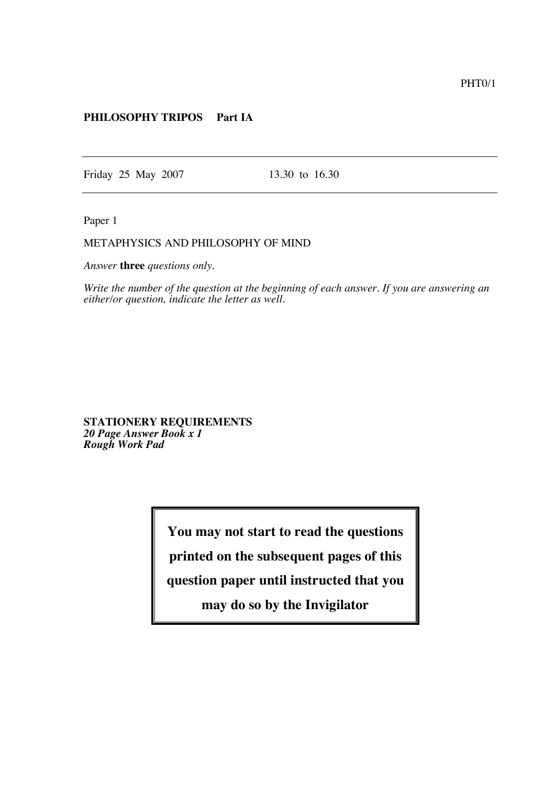## **PHILOSOPHY TRIPOS Part IA**

Friday 25 May 2007 13.30 to 16.30

Paper 1

## METAPHYSICS AND PHILOSOPHY OF MIND

*Answer* **three** *questions only.*

*Write the number of the question at the beginning of each answer. If you are answering an either/or question, indicate the letter as well.*

**STATIONERY REQUIREMENTS** *20 Page Answer Book x 1 Rough Work Pad*

**You may not start to read the questions**

**printed on the subsequent pages of this**

**question paper until instructed that you**

**may do so by the Invigilator**